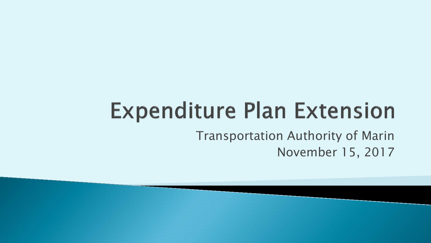# **Expenditure Plan Extension**

Transportation Authority of Marin November 15, 2017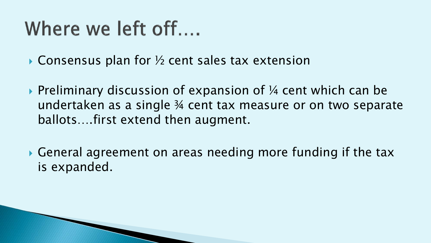### Where we left off....

 $\triangleright$  Consensus plan for  $\frac{1}{2}$  cent sales tax extension

- $\triangleright$  Preliminary discussion of expansion of  $\frac{1}{4}$  cent which can be undertaken as a single ¾ cent tax measure or on two separate ballots….first extend then augment.
- General agreement on areas needing more funding if the tax is expanded.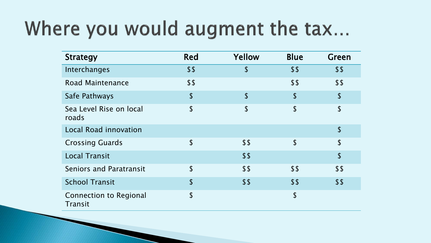### Where you would augment the tax...

| <b>Strategy</b>                                 | <b>Red</b>                | Yellow        | <b>Blue</b>               | Green                     |
|-------------------------------------------------|---------------------------|---------------|---------------------------|---------------------------|
| Interchanges                                    | \$\$                      | \$            | \$\$                      | \$\$                      |
| Road Maintenance                                | \$\$                      |               | \$\$                      | \$\$                      |
| Safe Pathways                                   | $\boldsymbol{\mathsf{L}}$ | \$            | $\sqrt{2}$                | $\sqrt{2}$                |
| Sea Level Rise on local<br>roads                | $\sqrt{2}$                | $\mathsf{\$}$ | $\boldsymbol{\mathsf{S}}$ | $\boldsymbol{\mathsf{S}}$ |
| <b>Local Road innovation</b>                    |                           |               |                           | $\boldsymbol{\mathsf{S}}$ |
| <b>Crossing Guards</b>                          | $\boldsymbol{\mathsf{S}}$ | \$\$          | $\boldsymbol{\mathsf{S}}$ | $\boldsymbol{\mathsf{S}}$ |
| <b>Local Transit</b>                            |                           | \$5           |                           | $\mathsf{\$}$             |
| <b>Seniors and Paratransit</b>                  | $\boldsymbol{\mathsf{S}}$ | \$\$          | \$\$                      | \$\$                      |
| <b>School Transit</b>                           | $\sqrt{2}$                | \$5           | \$5                       | \$\$                      |
| <b>Connection to Regional</b><br><b>Transit</b> | $\boldsymbol{\mathsf{S}}$ |               | $\boldsymbol{\mathsf{S}}$ |                           |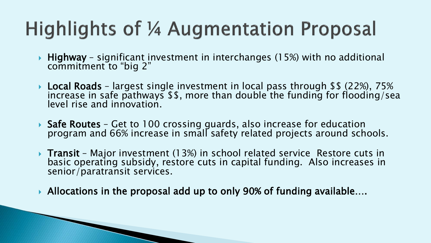# **Highlights of 1/4 Augmentation Proposal**

- Highway significant investment in interchanges (15%) with no additional commitment to "big 2"
- **Local Roads** largest single investment in local pass through \$\$ (22%), 75% increase in safe pathways \$\$, more than double the funding for flooding/sea level rise and innovation.
- Safe Routes Get to 100 crossing guards, also increase for education<br>program and 66% increase in small safety related projects around schools.
- Transit Major investment (13%) in school related service Restore cuts in basic operating subsidy, restore cuts in capital funding. Also increases in senior/paratransit services.
- Allocations in the proposal add up to only 90% of funding available….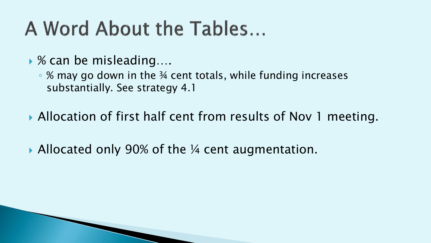## A Word About the Tables...

- ▶ % can be misleading....
	- % may go down in the ¾ cent totals, while funding increases substantially. See strategy 4.1
- ▶ Allocation of first half cent from results of Nov 1 meeting.
- ▶ Allocated only 90% of the ¼ cent augmentation.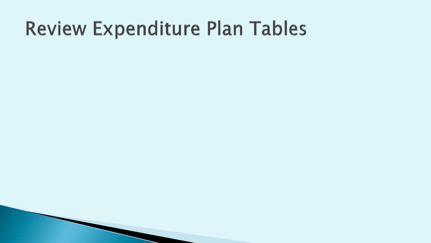### Review Expenditure Plan Tables

- 
- -
	-
	-
- -
- - -
		-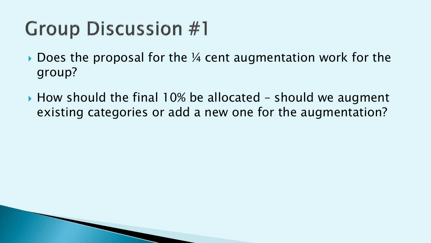## **Group Discussion #1**

- $\triangleright$  Does the proposal for the  $\frac{1}{4}$  cent augmentation work for the group?
- $\rightarrow$  How should the final 10% be allocated should we augment existing categories or add a new one for the augmentation?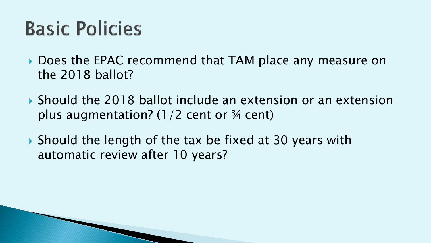## **Basic Policies**

- ▶ Does the EPAC recommend that TAM place any measure on the 2018 ballot?
- ▶ Should the 2018 ballot include an extension or an extension plus augmentation?  $(1/2$  cent or  $\frac{3}{4}$  cent)
- ▶ Should the length of the tax be fixed at 30 years with automatic review after 10 years?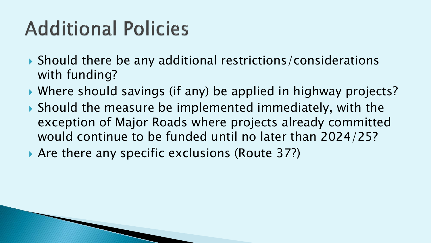# **Additional Policies**

- Should there be any additional restrictions/considerations with funding?
- Where should savings (if any) be applied in highway projects?
- ▶ Should the measure be implemented immediately, with the exception of Major Roads where projects already committed would continue to be funded until no later than 2024/25?
- ▶ Are there any specific exclusions (Route 37?)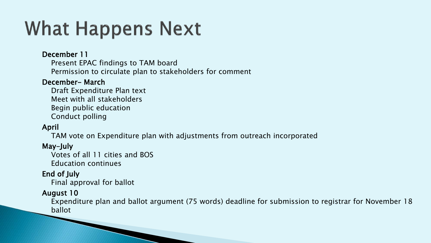## **What Happens Next**

#### December 11

Present EPAC findings to TAM board Permission to circulate plan to stakeholders for comment

#### December- March

Draft Expenditure Plan text Meet with all stakeholders Begin public education Conduct polling

### April

TAM vote on Expenditure plan with adjustments from outreach incorporated

#### May-July

Votes of all 11 cities and BOS Education continues

#### End of July

Final approval for ballot

#### August 10

Expenditure plan and ballot argument (75 words) deadline for submission to registrar for November 18 ballot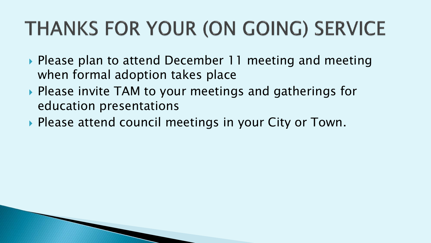# THANKS FOR YOUR (ON GOING) SERVICE

- ▶ Please plan to attend December 11 meeting and meeting when formal adoption takes place
- ▶ Please invite TAM to your meetings and gatherings for education presentations
- ▶ Please attend council meetings in your City or Town.